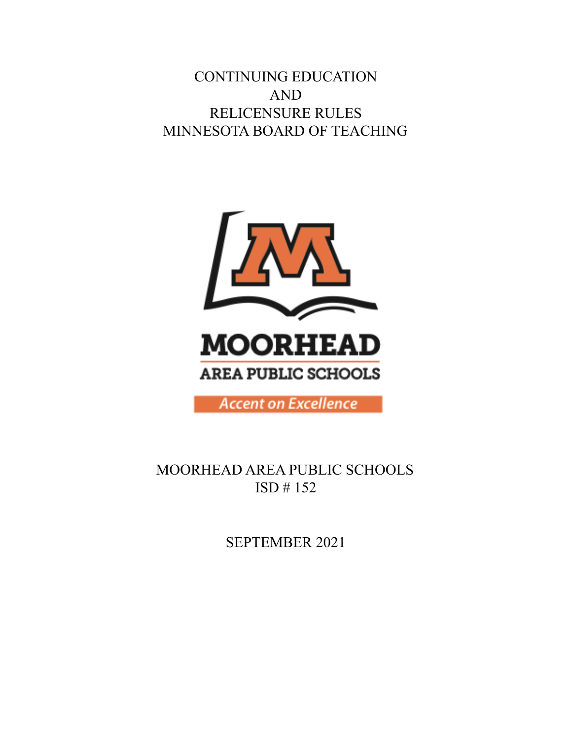CONTINUING EDUCATION AND RELICENSURE RULES MINNESOTA BOARD OF TEACHING



MOORHEAD AREA PUBLIC SCHOOLS ISD # 152

SEPTEMBER 2021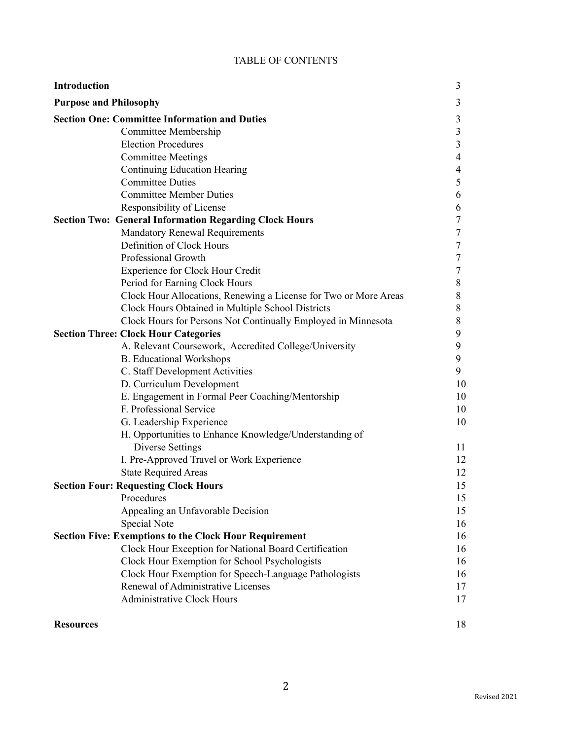|  |  | TABLE OF CONTENTS |
|--|--|-------------------|
|--|--|-------------------|

| <b>Introduction</b>                                                                | 3              |
|------------------------------------------------------------------------------------|----------------|
| <b>Purpose and Philosophy</b>                                                      | 3              |
| <b>Section One: Committee Information and Duties</b>                               | 3              |
| Committee Membership                                                               |                |
| <b>Election Procedures</b>                                                         | 3              |
| <b>Committee Meetings</b>                                                          | $\overline{4}$ |
| Continuing Education Hearing                                                       | 4              |
| <b>Committee Duties</b>                                                            | 5              |
| <b>Committee Member Duties</b>                                                     | 6              |
| Responsibility of License                                                          | 6              |
| <b>Section Two: General Information Regarding Clock Hours</b>                      | 7              |
| <b>Mandatory Renewal Requirements</b>                                              | 7              |
| Definition of Clock Hours                                                          | 7              |
| Professional Growth                                                                | 7              |
| <b>Experience for Clock Hour Credit</b>                                            | 7              |
| Period for Earning Clock Hours                                                     | 8              |
| Clock Hour Allocations, Renewing a License for Two or More Areas                   | 8              |
| Clock Hours Obtained in Multiple School Districts                                  | 8              |
| Clock Hours for Persons Not Continually Employed in Minnesota                      | 8<br>9         |
| <b>Section Three: Clock Hour Categories</b>                                        |                |
| A. Relevant Coursework, Accredited College/University                              | 9              |
| <b>B.</b> Educational Workshops                                                    | 9              |
| C. Staff Development Activities                                                    | 9              |
| D. Curriculum Development                                                          | 10<br>10       |
| E. Engagement in Formal Peer Coaching/Mentorship<br>F. Professional Service        |                |
|                                                                                    |                |
| G. Leadership Experience<br>H. Opportunities to Enhance Knowledge/Understanding of | 10             |
| <b>Diverse Settings</b>                                                            | 11             |
| I. Pre-Approved Travel or Work Experience                                          | 12             |
| <b>State Required Areas</b>                                                        | 12             |
| <b>Section Four: Requesting Clock Hours</b>                                        |                |
| Procedures                                                                         | 15<br>15       |
| Appealing an Unfavorable Decision                                                  | 15             |
| Special Note                                                                       | 16             |
| <b>Section Five: Exemptions to the Clock Hour Requirement</b>                      | 16             |
| Clock Hour Exception for National Board Certification                              | 16             |
| Clock Hour Exemption for School Psychologists                                      | 16             |
| Clock Hour Exemption for Speech-Language Pathologists                              | 16             |
| Renewal of Administrative Licenses                                                 | 17             |
| <b>Administrative Clock Hours</b>                                                  | 17             |
|                                                                                    |                |

| <b>Resources</b> |  |
|------------------|--|
|                  |  |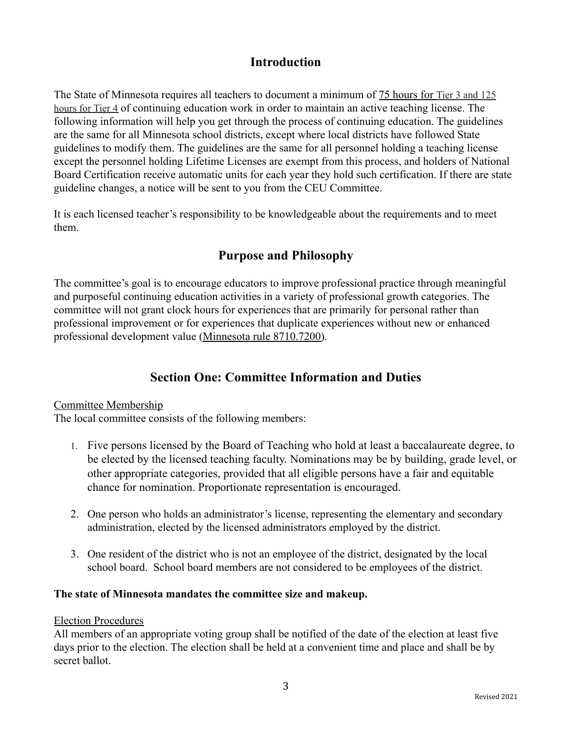# **Introduction**

The State of Minnesota requires all teachers to document a minimum of 75 hours for Tier 3 and 125 hours for Tier 4 of continuing education work in order to maintain an active teaching license. The following information will help you get through the process of continuing education. The guidelines are the same for all Minnesota school districts, except where local districts have followed State guidelines to modify them. The guidelines are the same for all personnel holding a teaching license except the personnel holding Lifetime Licenses are exempt from this process, and holders of National Board Certification receive automatic units for each year they hold such certification. If there are state guideline changes, a notice will be sent to you from the CEU Committee.

It is each licensed teacher's responsibility to be knowledgeable about the requirements and to meet them.

# **Purpose and Philosophy**

The committee's goal is to encourage educators to improve professional practice through meaningful and purposeful continuing education activities in a variety of professional growth categories. The committee will not grant clock hours for experiences that are primarily for personal rather than professional improvement or for experiences that duplicate experiences without new or enhanced professional development value [\(Minnesota rule 8710.7200\)](https://www.revisor.mn.gov/rules/?id=8710.7200).

# **Section One: Committee Information and Duties**

## Committee Membership

The local committee consists of the following members:

- 1. Five persons licensed by the Board of Teaching who hold at least a baccalaureate degree, to be elected by the licensed teaching faculty. Nominations may be by building, grade level, or other appropriate categories, provided that all eligible persons have a fair and equitable chance for nomination. Proportionate representation is encouraged.
- 2. One person who holds an administrator's license, representing the elementary and secondary administration, elected by the licensed administrators employed by the district.
- 3. One resident of the district who is not an employee of the district, designated by the local school board. School board members are not considered to be employees of the district.

## **The state of Minnesota mandates the committee size and makeup.**

#### Election Procedures

All members of an appropriate voting group shall be notified of the date of the election at least five days prior to the election. The election shall be held at a convenient time and place and shall be by secret ballot.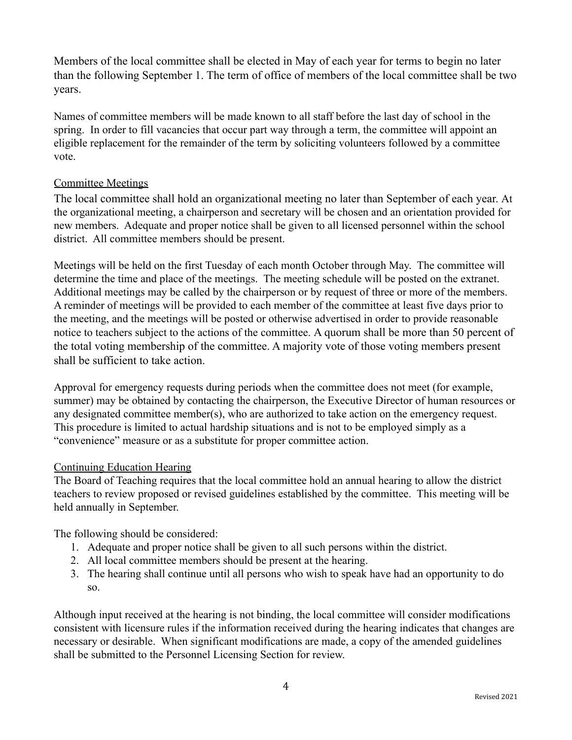Members of the local committee shall be elected in May of each year for terms to begin no later than the following September 1. The term of office of members of the local committee shall be two years.

Names of committee members will be made known to all staff before the last day of school in the spring. In order to fill vacancies that occur part way through a term, the committee will appoint an eligible replacement for the remainder of the term by soliciting volunteers followed by a committee vote.

## Committee Meetings

The local committee shall hold an organizational meeting no later than September of each year. At the organizational meeting, a chairperson and secretary will be chosen and an orientation provided for new members. Adequate and proper notice shall be given to all licensed personnel within the school district. All committee members should be present.

Meetings will be held on the first Tuesday of each month October through May. The committee will determine the time and place of the meetings. The meeting schedule will be posted on the extranet. Additional meetings may be called by the chairperson or by request of three or more of the members. A reminder of meetings will be provided to each member of the committee at least five days prior to the meeting, and the meetings will be posted or otherwise advertised in order to provide reasonable notice to teachers subject to the actions of the committee. A quorum shall be more than 50 percent of the total voting membership of the committee. A majority vote of those voting members present shall be sufficient to take action.

Approval for emergency requests during periods when the committee does not meet (for example, summer) may be obtained by contacting the chairperson, the Executive Director of human resources or any designated committee member(s), who are authorized to take action on the emergency request. This procedure is limited to actual hardship situations and is not to be employed simply as a "convenience" measure or as a substitute for proper committee action.

## Continuing Education Hearing

The Board of Teaching requires that the local committee hold an annual hearing to allow the district teachers to review proposed or revised guidelines established by the committee. This meeting will be held annually in September.

The following should be considered:

- 1. Adequate and proper notice shall be given to all such persons within the district.
- 2. All local committee members should be present at the hearing.
- 3. The hearing shall continue until all persons who wish to speak have had an opportunity to do so.

Although input received at the hearing is not binding, the local committee will consider modifications consistent with licensure rules if the information received during the hearing indicates that changes are necessary or desirable. When significant modifications are made, a copy of the amended guidelines shall be submitted to the Personnel Licensing Section for review.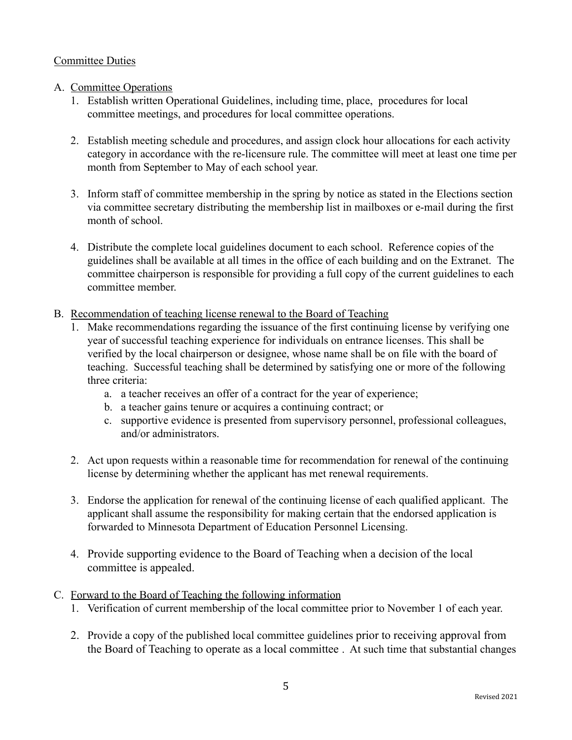## **Committee Duties**

- A. Committee Operations
	- 1. Establish written Operational Guidelines, including time, place, procedures for local committee meetings, and procedures for local committee operations.
	- 2. Establish meeting schedule and procedures, and assign clock hour allocations for each activity category in accordance with the re-licensure rule. The committee will meet at least one time per month from September to May of each school year.
	- 3. Inform staff of committee membership in the spring by notice as stated in the Elections section via committee secretary distributing the membership list in mailboxes or e-mail during the first month of school.
	- 4. Distribute the complete local guidelines document to each school. Reference copies of the guidelines shall be available at all times in the office of each building and on the Extranet. The committee chairperson is responsible for providing a full copy of the current guidelines to each committee member.
- B. Recommendation of teaching license renewal to the Board of Teaching
	- 1. Make recommendations regarding the issuance of the first continuing license by verifying one year of successful teaching experience for individuals on entrance licenses. This shall be verified by the local chairperson or designee, whose name shall be on file with the board of teaching. Successful teaching shall be determined by satisfying one or more of the following three criteria:
		- a. a teacher receives an offer of a contract for the year of experience;
		- b. a teacher gains tenure or acquires a continuing contract; or
		- c. supportive evidence is presented from supervisory personnel, professional colleagues, and/or administrators.
	- 2. Act upon requests within a reasonable time for recommendation for renewal of the continuing license by determining whether the applicant has met renewal requirements.
	- 3. Endorse the application for renewal of the continuing license of each qualified applicant. The applicant shall assume the responsibility for making certain that the endorsed application is forwarded to Minnesota Department of Education Personnel Licensing.
	- 4. Provide supporting evidence to the Board of Teaching when a decision of the local committee is appealed.
- C. Forward to the Board of Teaching the following information
	- 1. Verification of current membership of the local committee prior to November 1 of each year.
	- 2. Provide a copy of the published local committee guidelines prior to receiving approval from the Board of Teaching to operate as a local committee . At such time that substantial changes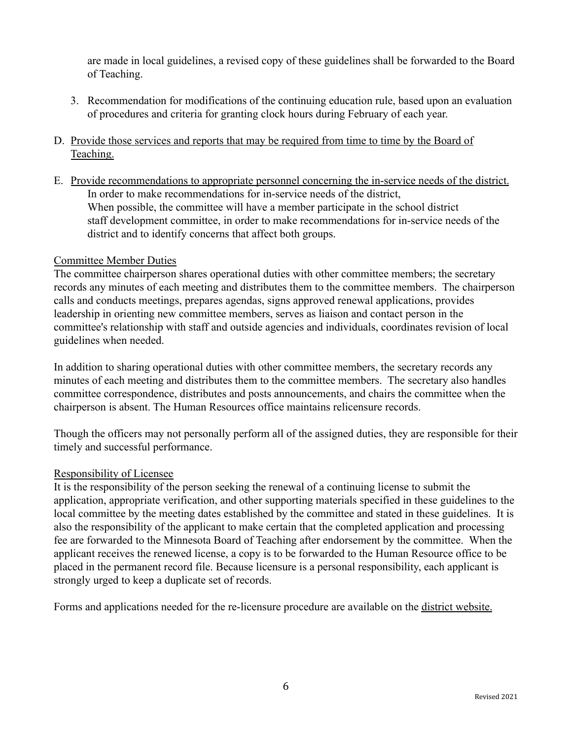are made in local guidelines, a revised copy of these guidelines shall be forwarded to the Board of Teaching.

- 3. Recommendation for modifications of the continuing education rule, based upon an evaluation of procedures and criteria for granting clock hours during February of each year.
- D. Provide those services and reports that may be required from time to time by the Board of Teaching.
- E. Provide recommendations to appropriate personnel concerning the in-service needs of the district. In order to make recommendations for in-service needs of the district, When possible, the committee will have a member participate in the school district staff development committee, in order to make recommendations for in-service needs of the district and to identify concerns that affect both groups.

## Committee Member Duties

The committee chairperson shares operational duties with other committee members; the secretary records any minutes of each meeting and distributes them to the committee members. The chairperson calls and conducts meetings, prepares agendas, signs approved renewal applications, provides leadership in orienting new committee members, serves as liaison and contact person in the committee's relationship with staff and outside agencies and individuals, coordinates revision of local guidelines when needed.

In addition to sharing operational duties with other committee members, the secretary records any minutes of each meeting and distributes them to the committee members. The secretary also handles committee correspondence, distributes and posts announcements, and chairs the committee when the chairperson is absent. The Human Resources office maintains relicensure records.

Though the officers may not personally perform all of the assigned duties, they are responsible for their timely and successful performance.

#### Responsibility of Licensee

It is the responsibility of the person seeking the renewal of a continuing license to submit the application, appropriate verification, and other supporting materials specified in these guidelines to the local committee by the meeting dates established by the committee and stated in these guidelines. It is also the responsibility of the applicant to make certain that the completed application and processing fee are forwarded to the Minnesota Board of Teaching after endorsement by the committee. When the applicant receives the renewed license, a copy is to be forwarded to the Human Resource office to be placed in the permanent record file. Because licensure is a personal responsibility, each applicant is strongly urged to keep a duplicate set of records.

Forms and applications needed for the re-licensure procedure are available on the [district website.](https://www.moorheadschools.org/)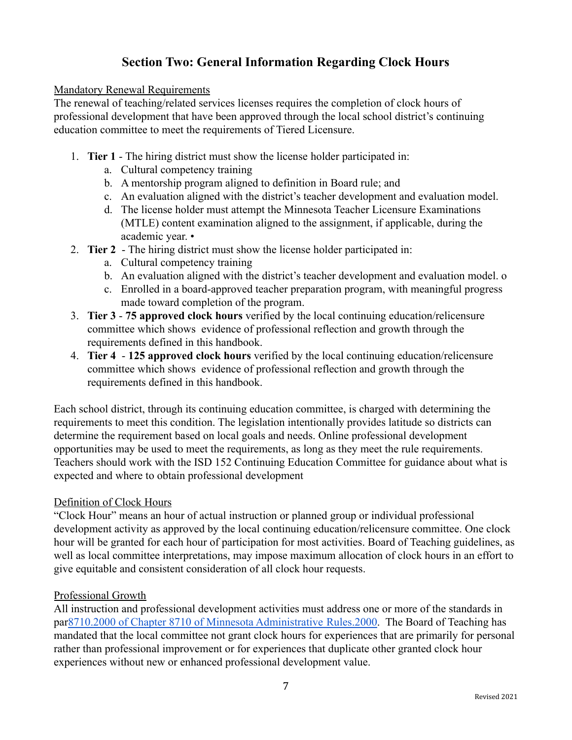# **Section Two: General Information Regarding Clock Hours**

#### Mandatory Renewal Requirements

The renewal of teaching/related services licenses requires the completion of clock hours of professional development that have been approved through the local school district's continuing education committee to meet the requirements of Tiered Licensure.

- 1. **Tier 1** The hiring district must show the license holder participated in:
	- a. Cultural competency training
	- b. A mentorship program aligned to definition in Board rule; and
	- c. An evaluation aligned with the district's teacher development and evaluation model.
	- d. The license holder must attempt the Minnesota Teacher Licensure Examinations (MTLE) content examination aligned to the assignment, if applicable, during the academic year. •
- 2. **Tier 2** The hiring district must show the license holder participated in:
	- a. Cultural competency training
	- b. An evaluation aligned with the district's teacher development and evaluation model. o
	- c. Enrolled in a board-approved teacher preparation program, with meaningful progress made toward completion of the program.
- 3. **Tier 3 75 approved clock hours** verified by the local continuing education/relicensure committee which shows evidence of professional reflection and growth through the requirements defined in this handbook.
- 4. **Tier 4 125 approved clock hours** verified by the local continuing education/relicensure committee which shows evidence of professional reflection and growth through the requirements defined in this handbook.

Each school district, through its continuing education committee, is charged with determining the requirements to meet this condition. The legislation intentionally provides latitude so districts can determine the requirement based on local goals and needs. Online professional development opportunities may be used to meet the requirements, as long as they meet the rule requirements. Teachers should work with the ISD 152 Continuing Education Committee for guidance about what is expected and where to obtain professional development

## Definition of Clock Hours

"Clock Hour" means an hour of actual instruction or planned group or individual professional development activity as approved by the local continuing education/relicensure committee. One clock hour will be granted for each hour of participation for most activities. Board of Teaching guidelines, as well as local committee interpretations, may impose maximum allocation of clock hours in an effort to give equitable and consistent consideration of all clock hour requests.

## Professional Growth

All instruction and professional development activities must address one or more of the standards in par[8710.2000 of Chapter 8710 of Minnesota Administrative](https://www.revisor.mn.gov/rules/8710.2000/?keyword_type=all&keyword=8710.2000) Rules.2000. The Board of Teaching has mandated that the local committee not grant clock hours for experiences that are primarily for personal rather than professional improvement or for experiences that duplicate other granted clock hour experiences without new or enhanced professional development value.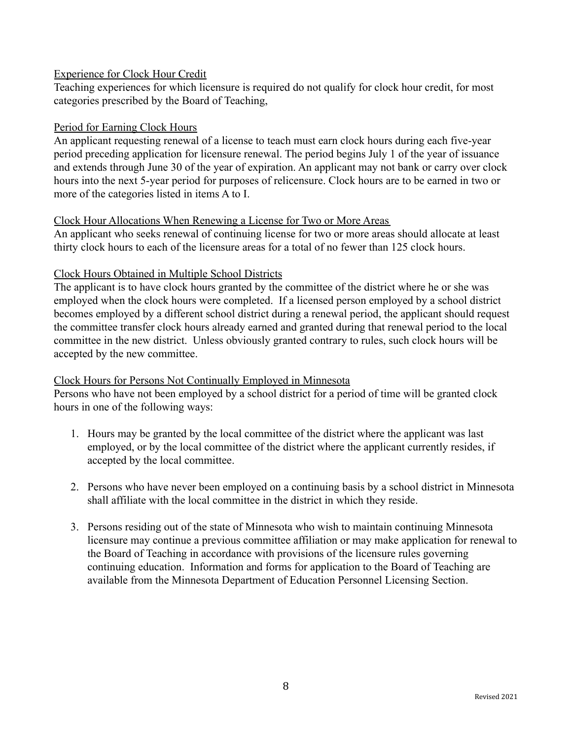#### Experience for Clock Hour Credit

Teaching experiences for which licensure is required do not qualify for clock hour credit, for most categories prescribed by the Board of Teaching,

#### Period for Earning Clock Hours

An applicant requesting renewal of a license to teach must earn clock hours during each five-year period preceding application for licensure renewal. The period begins July 1 of the year of issuance and extends through June 30 of the year of expiration. An applicant may not bank or carry over clock hours into the next 5-year period for purposes of relicensure. Clock hours are to be earned in two or more of the categories listed in items A to I.

#### Clock Hour Allocations When Renewing a License for Two or More Areas

An applicant who seeks renewal of continuing license for two or more areas should allocate at least thirty clock hours to each of the licensure areas for a total of no fewer than 125 clock hours.

#### Clock Hours Obtained in Multiple School Districts

The applicant is to have clock hours granted by the committee of the district where he or she was employed when the clock hours were completed. If a licensed person employed by a school district becomes employed by a different school district during a renewal period, the applicant should request the committee transfer clock hours already earned and granted during that renewal period to the local committee in the new district. Unless obviously granted contrary to rules, such clock hours will be accepted by the new committee.

#### Clock Hours for Persons Not Continually Employed in Minnesota

Persons who have not been employed by a school district for a period of time will be granted clock hours in one of the following ways:

- 1. Hours may be granted by the local committee of the district where the applicant was last employed, or by the local committee of the district where the applicant currently resides, if accepted by the local committee.
- 2. Persons who have never been employed on a continuing basis by a school district in Minnesota shall affiliate with the local committee in the district in which they reside.
- 3. Persons residing out of the state of Minnesota who wish to maintain continuing Minnesota licensure may continue a previous committee affiliation or may make application for renewal to the Board of Teaching in accordance with provisions of the licensure rules governing continuing education. Information and forms for application to the Board of Teaching are available from the Minnesota Department of Education Personnel Licensing Section.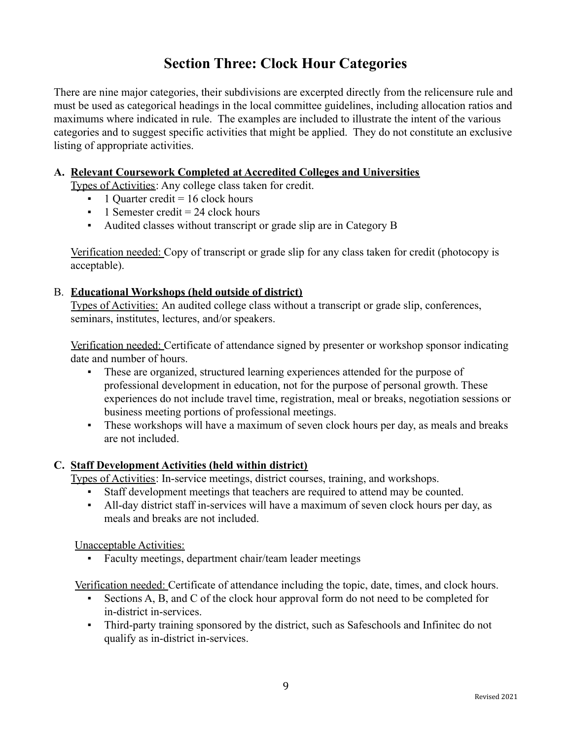# **Section Three: Clock Hour Categories**

There are nine major categories, their subdivisions are excerpted directly from the relicensure rule and must be used as categorical headings in the local committee guidelines, including allocation ratios and maximums where indicated in rule. The examples are included to illustrate the intent of the various categories and to suggest specific activities that might be applied. They do not constitute an exclusive listing of appropriate activities.

#### **A. Relevant Coursework Completed at Accredited Colleges and Universities**

Types of Activities: Any college class taken for credit.

- $\blacksquare$  1 Quarter credit = 16 clock hours
- $\blacksquare$  1 Semester credit = 24 clock hours
- Audited classes without transcript or grade slip are in Category B

Verification needed: Copy of transcript or grade slip for any class taken for credit (photocopy is acceptable).

## B. **Educational Workshops (held outside of district)**

Types of Activities: An audited college class without a transcript or grade slip, conferences, seminars, institutes, lectures, and/or speakers.

Verification needed: Certificate of attendance signed by presenter or workshop sponsor indicating date and number of hours.

- These are organized, structured learning experiences attended for the purpose of professional development in education, not for the purpose of personal growth. These experiences do not include travel time, registration, meal or breaks, negotiation sessions or business meeting portions of professional meetings.
- These workshops will have a maximum of seven clock hours per day, as meals and breaks are not included.

## **C. Staff Development Activities (held within district)**

Types of Activities: In-service meetings, district courses, training, and workshops.

- Staff development meetings that teachers are required to attend may be counted.
- All-day district staff in-services will have a maximum of seven clock hours per day, as meals and breaks are not included.

Unacceptable Activities:

▪ Faculty meetings, department chair/team leader meetings

Verification needed: Certificate of attendance including the topic, date, times, and clock hours.

- Sections A, B, and C of the clock hour approval form do not need to be completed for in-district in-services.
- Third-party training sponsored by the district, such as Safeschools and Infinitec do not qualify as in-district in-services.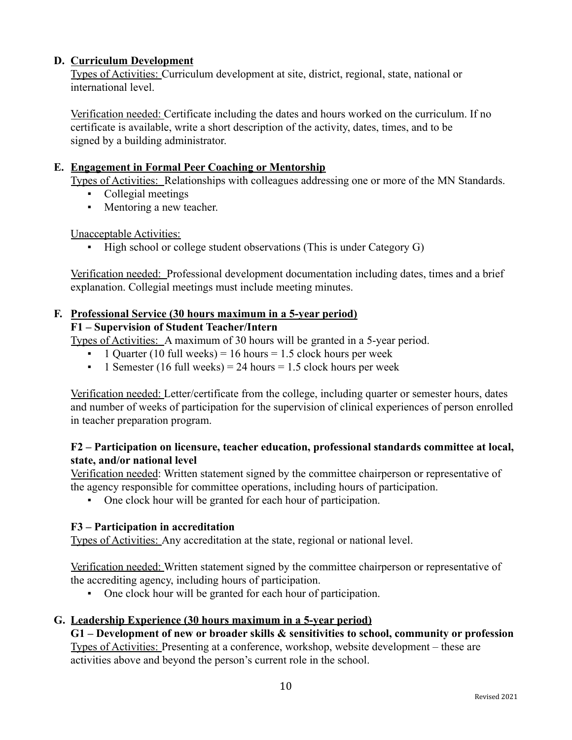## **D. Curriculum Development**

Types of Activities: Curriculum development at site, district, regional, state, national or international level.

Verification needed: Certificate including the dates and hours worked on the curriculum. If no certificate is available, write a short description of the activity, dates, times, and to be signed by a building administrator.

## **E. Engagement in Formal Peer Coaching or Mentorship**

Types of Activities: Relationships with colleagues addressing one or more of the MN Standards.

- Collegial meetings
- Mentoring a new teacher.

Unacceptable Activities:

▪ High school or college student observations (This is under Category G)

Verification needed: Professional development documentation including dates, times and a brief explanation. Collegial meetings must include meeting minutes.

#### **F. Professional Service (30 hours maximum in a 5-year period) F1 – Supervision of Student Teacher/Intern**

Types of Activities: A maximum of 30 hours will be granted in a 5-year period.

- $\blacksquare$  1 Quarter (10 full weeks) = 16 hours = 1.5 clock hours per week
- $\blacksquare$  1 Semester (16 full weeks) = 24 hours = 1.5 clock hours per week

Verification needed: Letter/certificate from the college, including quarter or semester hours, dates and number of weeks of participation for the supervision of clinical experiences of person enrolled in teacher preparation program.

## **F2 – Participation on licensure, teacher education, professional standards committee at local, state, and/or national level**

Verification needed: Written statement signed by the committee chairperson or representative of the agency responsible for committee operations, including hours of participation.

▪ One clock hour will be granted for each hour of participation.

## **F3 – Participation in accreditation**

Types of Activities: Any accreditation at the state, regional or national level.

Verification needed: Written statement signed by the committee chairperson or representative of the accrediting agency, including hours of participation.

▪ One clock hour will be granted for each hour of participation.

## **G. Leadership Experience (30 hours maximum in a 5-year period)**

**G1 – Development of new or broader skills & sensitivities to school, community or profession** Types of Activities: Presenting at a conference, workshop, website development – these are activities above and beyond the person's current role in the school.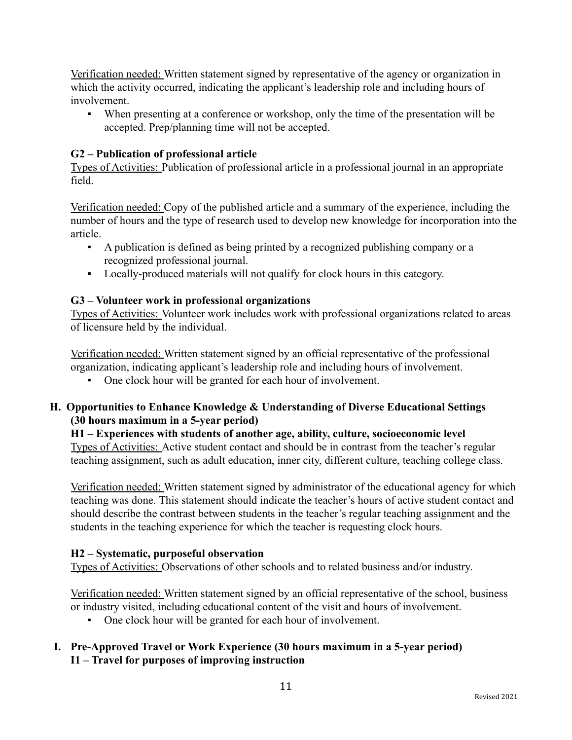Verification needed: Written statement signed by representative of the agency or organization in which the activity occurred, indicating the applicant's leadership role and including hours of involvement.

▪ When presenting at a conference or workshop, only the time of the presentation will be accepted. Prep/planning time will not be accepted.

## **G2 – Publication of professional article**

Types of Activities: Publication of professional article in a professional journal in an appropriate field.

Verification needed: Copy of the published article and a summary of the experience, including the number of hours and the type of research used to develop new knowledge for incorporation into the article.

- A publication is defined as being printed by a recognized publishing company or a recognized professional journal.
- Locally-produced materials will not qualify for clock hours in this category.

## **G3 – Volunteer work in professional organizations**

Types of Activities: Volunteer work includes work with professional organizations related to areas of licensure held by the individual.

Verification needed: Written statement signed by an official representative of the professional organization, indicating applicant's leadership role and including hours of involvement.

▪ One clock hour will be granted for each hour of involvement.

## **H. Opportunities to Enhance Knowledge & Understanding of Diverse Educational Settings (30 hours maximum in a 5-year period)**

## **H1 – Experiences with students of another age, ability, culture, socioeconomic level**

Types of Activities: Active student contact and should be in contrast from the teacher's regular teaching assignment, such as adult education, inner city, different culture, teaching college class.

Verification needed: Written statement signed by administrator of the educational agency for which teaching was done. This statement should indicate the teacher's hours of active student contact and should describe the contrast between students in the teacher's regular teaching assignment and the students in the teaching experience for which the teacher is requesting clock hours.

## **H2 – Systematic, purposeful observation**

Types of Activities: Observations of other schools and to related business and/or industry.

Verification needed: Written statement signed by an official representative of the school, business or industry visited, including educational content of the visit and hours of involvement.

- One clock hour will be granted for each hour of involvement.
- **I. Pre-Approved Travel or Work Experience (30 hours maximum in a 5-year period) I1 – Travel for purposes of improving instruction**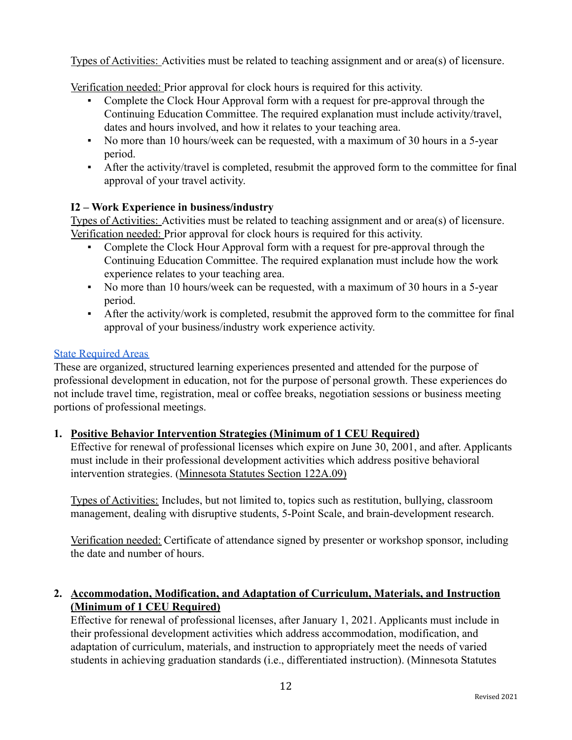Types of Activities: Activities must be related to teaching assignment and or area(s) of licensure.

Verification needed: Prior approval for clock hours is required for this activity.

- Complete the Clock Hour Approval form with a request for pre-approval through the Continuing Education Committee. The required explanation must include activity/travel, dates and hours involved, and how it relates to your teaching area.
- No more than 10 hours/week can be requested, with a maximum of 30 hours in a 5-year period.
- After the activity/travel is completed, resubmit the approved form to the committee for final approval of your travel activity.

## **I2 – Work Experience in business/industry**

Types of Activities: Activities must be related to teaching assignment and or area(s) of licensure. Verification needed: Prior approval for clock hours is required for this activity.

- Complete the Clock Hour Approval form with a request for pre-approval through the Continuing Education Committee. The required explanation must include how the work experience relates to your teaching area.
- No more than 10 hours/week can be requested, with a maximum of 30 hours in a 5-year period.
- After the activity/work is completed, resubmit the approved form to the committee for final approval of your business/industry work experience activity.

## **[State Required Areas](https://mn.gov/pelsb/assets/Mandatory%20Requirements%20Chart%20For%20Relicensure%2002-19-20%20POST_tcm1113-373621.pdf)**

These are organized, structured learning experiences presented and attended for the purpose of professional development in education, not for the purpose of personal growth. These experiences do not include travel time, registration, meal or coffee breaks, negotiation sessions or business meeting portions of professional meetings.

## **1. Positive Behavior Intervention Strategies (Minimum of 1 CEU Required)**

Effective for renewal of professional licenses which expire on June 30, 2001, and after. Applicants must include in their professional development activities which address positive behavioral intervention strategies. ([Minnesota Statutes Section](https://www.revisor.mn.gov/statutes/?id=122a.09) 122A.09)

Types of Activities: Includes, but not limited to, topics such as restitution, bullying, classroom management, dealing with disruptive students, 5-Point Scale, and brain-development research.

Verification needed: Certificate of attendance signed by presenter or workshop sponsor, including the date and number of hours.

## **2. Accommodation, Modification, and Adaptation of Curriculum, Materials, and Instruction (Minimum of 1 CEU Required)**

Effective for renewal of professional licenses, after January 1, 2021. Applicants must include in their professional development activities which address accommodation, modification, and adaptation of curriculum, materials, and instruction to appropriately meet the needs of varied students in achieving graduation standards (i.e., differentiated instruction). (Minnesota Statutes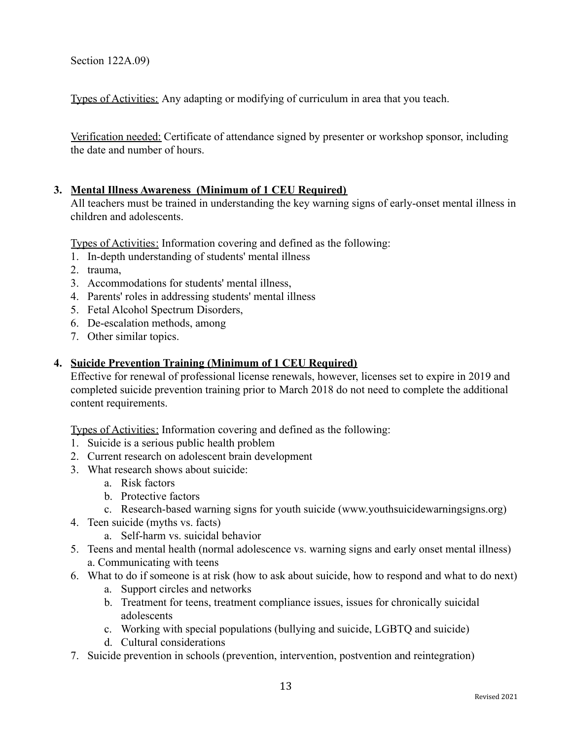Section 122A.09)

Types of Activities: Any adapting or modifying of curriculum in area that you teach.

Verification needed: Certificate of attendance signed by presenter or workshop sponsor, including the date and number of hours.

## **3. Mental Illness Awareness (Minimum of 1 CEU Required)**

All teachers must be trained in understanding the key warning signs of early-onset mental illness in children and adolescents.

[Types of Activities:](https://mn.gov/pelsb/assets/10.2.18%20-%20Board-adopted%20Criteria%20for%20Suicide%20Prevention%20Training_tcm1113-354713.pdf) Information covering and defined as the following:

- 1. In-depth understanding of students' mental illness
- 2. trauma,
- 3. Accommodations for students' mental illness,
- 4. Parents' roles in addressing students' mental illness
- 5. Fetal Alcohol Spectrum Disorders,
- 6. De-escalation methods, among
- 7. Other similar topics.

#### **4. Suicide Prevention Training (Minimum of 1 CEU Required)**

Effective for renewal of professional license renewals, however, licenses set to expire in 2019 and completed suicide prevention training prior to March 2018 do not need to complete the additional content requirements.

[Types of Activities:](https://mn.gov/pelsb/assets/10.2.18%20-%20Board-adopted%20Criteria%20for%20Suicide%20Prevention%20Training_tcm1113-354713.pdf) Information covering and defined as the following:

- 1. Suicide is a serious public health problem
- 2. Current research on adolescent brain development
- 3. What research shows about suicide:
	- a. Risk factors
	- b. Protective factors
	- c. Research-based warning signs for youth suicide (www.youthsuicidewarningsigns.org)
- 4. Teen suicide (myths vs. facts)
	- a. Self-harm vs. suicidal behavior
- 5. Teens and mental health (normal adolescence vs. warning signs and early onset mental illness) a. Communicating with teens
- 6. What to do if someone is at risk (how to ask about suicide, how to respond and what to do next)
	- a. Support circles and networks
	- b. Treatment for teens, treatment compliance issues, issues for chronically suicidal adolescents
	- c. Working with special populations (bullying and suicide, LGBTQ and suicide)
	- d. Cultural considerations
- 7. Suicide prevention in schools (prevention, intervention, postvention and reintegration)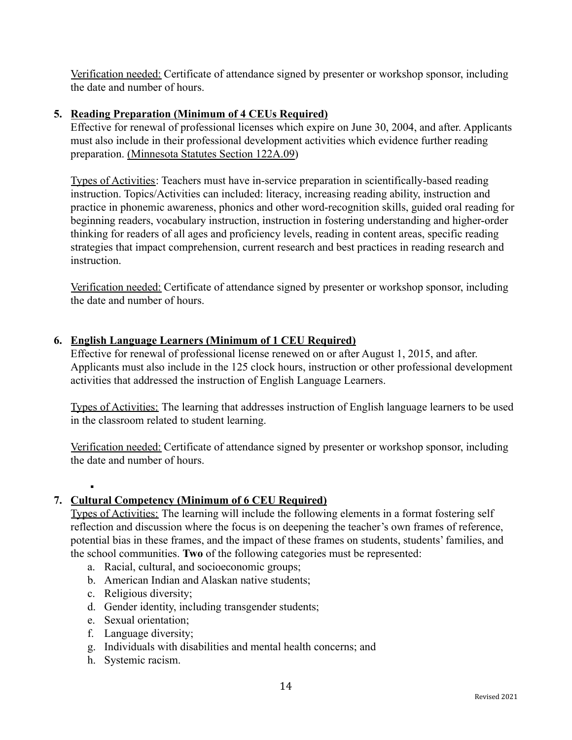Verification needed: Certificate of attendance signed by presenter or workshop sponsor, including the date and number of hours.

## **5. Reading Preparation (Minimum of 4 CEUs Required)**

Effective for renewal of professional licenses which expire on June 30, 2004, and after. Applicants must also include in their professional development activities which evidence further reading preparation. [\(Minnesota Statutes Section 122A.09\)](https://www.revisor.mn.gov/statutes/?id=122a.09)

Types of Activities: Teachers must have in-service preparation in scientifically-based reading instruction. Topics/Activities can included: literacy, increasing reading ability, instruction and practice in phonemic awareness, phonics and other word-recognition skills, guided oral reading for beginning readers, vocabulary instruction, instruction in fostering understanding and higher-order thinking for readers of all ages and proficiency levels, reading in content areas, specific reading strategies that impact comprehension, current research and best practices in reading research and instruction.

Verification needed: Certificate of attendance signed by presenter or workshop sponsor, including the date and number of hours.

#### **6. English Language Learners (Minimum of 1 CEU Required)**

Effective for renewal of professional license renewed on or after August 1, 2015, and after. Applicants must also include in the 125 clock hours, instruction or other professional development activities that addressed the instruction of English Language Learners.

Types of Activities: The learning that addresses instruction of English language learners to be used in the classroom related to student learning.

Verification needed: Certificate of attendance signed by presenter or workshop sponsor, including the date and number of hours.

## **7. Cultural Competency (Minimum of 6 CEU Required)**

Types of Activities: The learning will include the following elements in a format fostering self reflection and discussion where the focus is on deepening the teacher's own frames of reference, potential bias in these frames, and the impact of these frames on students, students' families, and the school communities. **Two** of the following categories must be represented:

- a. Racial, cultural, and socioeconomic groups;
- b. American Indian and Alaskan native students;
- c. Religious diversity;

▪

- d. Gender identity, including transgender students;
- e. Sexual orientation;
- f. Language diversity;
- g. Individuals with disabilities and mental health concerns; and
- h. Systemic racism.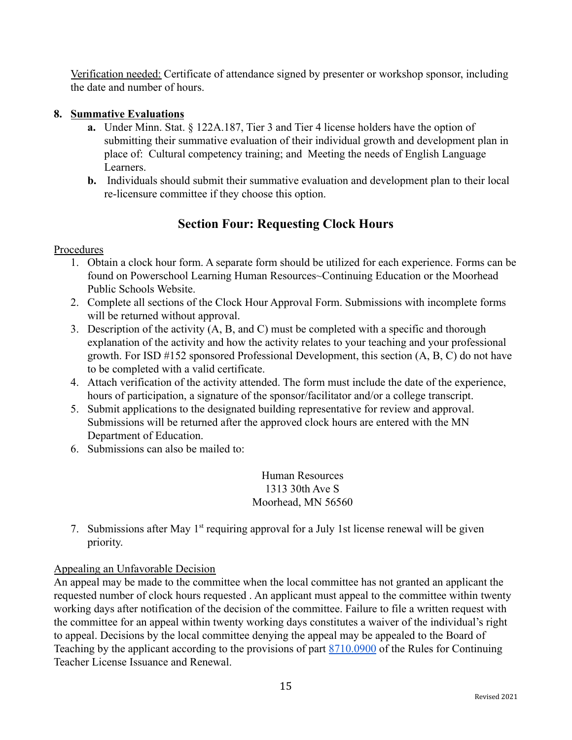Verification needed: Certificate of attendance signed by presenter or workshop sponsor, including the date and number of hours.

## **8. Summative Evaluations**

- **a.** Under Minn. Stat. § 122A.187, Tier 3 and Tier 4 license holders have the option of submitting their summative evaluation of their individual growth and development plan in place of: Cultural competency training; and Meeting the needs of English Language Learners.
- **b.** Individuals should submit their summative evaluation and development plan to their local re-licensure committee if they choose this option.

# **Section Four: Requesting Clock Hours**

## Procedures

- 1. Obtain a clock hour form. A separate form should be utilized for each experience. Forms can be found on Powerschool Learning Human Resources~Continuing Education or the Moorhead Public Schools Website.
- 2. Complete all sections of the Clock Hour Approval Form. Submissions with incomplete forms will be returned without approval.
- 3. Description of the activity (A, B, and C) must be completed with a specific and thorough explanation of the activity and how the activity relates to your teaching and your professional growth. For ISD #152 sponsored Professional Development, this section (A, B, C) do not have to be completed with a valid certificate.
- 4. Attach verification of the activity attended. The form must include the date of the experience, hours of participation, a signature of the sponsor/facilitator and/or a college transcript.
- 5. Submit applications to the designated building representative for review and approval. Submissions will be returned after the approved clock hours are entered with the MN Department of Education.
- 6. Submissions can also be mailed to:

Human Resources 1313 30th Ave S Moorhead, MN 56560

7. Submissions after May  $1<sup>st</sup>$  requiring approval for a July 1st license renewal will be given priority.

## Appealing an Unfavorable Decision

An appeal may be made to the committee when the local committee has not granted an applicant the requested number of clock hours requested . An applicant must appeal to the committee within twenty working days after notification of the decision of the committee. Failure to file a written request with the committee for an appeal within twenty working days constitutes a waiver of the individual's right to appeal. Decisions by the local committee denying the appeal may be appealed to the Board of Teaching by the applicant according to the provisions of part [8710.0900](https://www.revisor.mn.gov/rules/8710.0900/?keyword_type=all&keyword=8710.0900) of the Rules for Continuing Teacher License Issuance and Renewal.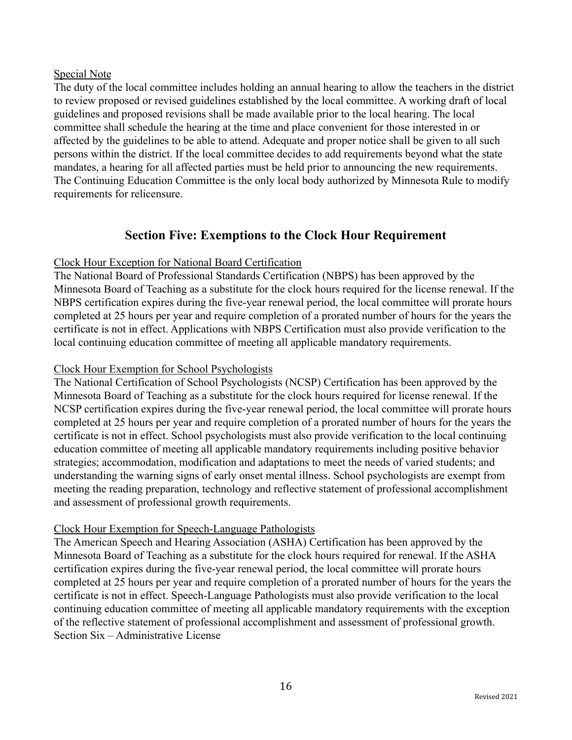#### Special Note

The duty of the local committee includes holding an annual hearing to allow the teachers in the district to review proposed or revised guidelines established by the local committee. A working draft of local guidelines and proposed revisions shall be made available prior to the local hearing. The local committee shall schedule the hearing at the time and place convenient for those interested in or affected by the guidelines to be able to attend. Adequate and proper notice shall be given to all such persons within the district. If the local committee decides to add requirements beyond what the state mandates, a hearing for all affected parties must be held prior to announcing the new requirements. The Continuing Education Committee is the only local body authorized by Minnesota Rule to modify requirements for relicensure.

## **Section Five: Exemptions to the Clock Hour Requirement**

## Clock Hour Exception for National Board Certification

The National Board of Professional Standards Certification (NBPS) has been approved by the Minnesota Board of Teaching as a substitute for the clock hours required for the license renewal. If the NBPS certification expires during the five-year renewal period, the local committee will prorate hours completed at 25 hours per year and require completion of a prorated number of hours for the years the certificate is not in effect. Applications with NBPS Certification must also provide verification to the local continuing education committee of meeting all applicable mandatory requirements.

#### Clock Hour Exemption for School Psychologists

The National Certification of School Psychologists (NCSP) Certification has been approved by the Minnesota Board of Teaching as a substitute for the clock hours required for license renewal. If the NCSP certification expires during the five-year renewal period, the local committee will prorate hours completed at 25 hours per year and require completion of a prorated number of hours for the years the certificate is not in effect. School psychologists must also provide verification to the local continuing education committee of meeting all applicable mandatory requirements including positive behavior strategies; accommodation, modification and adaptations to meet the needs of varied students; and understanding the warning signs of early onset mental illness. School psychologists are exempt from meeting the reading preparation, technology and reflective statement of professional accomplishment and assessment of professional growth requirements.

## Clock Hour Exemption for Speech-Language Pathologists

The American Speech and Hearing Association (ASHA) Certification has been approved by the Minnesota Board of Teaching as a substitute for the clock hours required for renewal. If the ASHA certification expires during the five-year renewal period, the local committee will prorate hours completed at 25 hours per year and require completion of a prorated number of hours for the years the certificate is not in effect. Speech-Language Pathologists must also provide verification to the local continuing education committee of meeting all applicable mandatory requirements with the exception of the reflective statement of professional accomplishment and assessment of professional growth. Section Six – Administrative License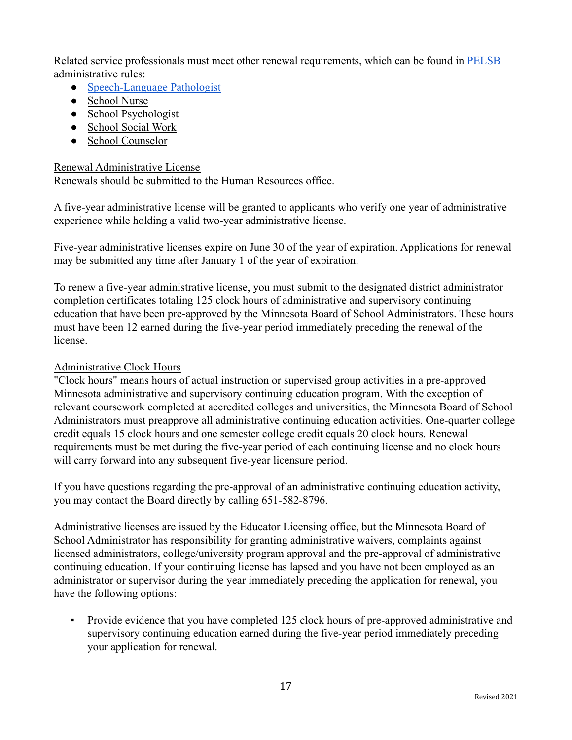Related service professionals must meet other renewal requirements, which can be found in [PELSB](https://mn.gov/pelsb/assets/Mandatory%20Requirements%20Chart%20For%20Relicensure%2002-19-20%20POST_tcm1113-373621.pdf) administrative rules:

- [Speech-Language Pathologist](https://www.revisor.mn.gov/rules/8710.6000/)
- [School Nurse](https://www.revisor.mn.gov/rules/8710.6100/)
- [School Psychologist](https://www.revisor.mn.gov/rules/8710.6200/)
- [School Social Work](https://www.revisor.mn.gov/rules/8710.6300/)
- [School Counselor](https://www.revisor.mn.gov/rules/8710.6400/)

## Renewal Administrative License

Renewals should be submitted to the Human Resources office.

A five-year administrative license will be granted to applicants who verify one year of administrative experience while holding a valid two-year administrative license.

Five-year administrative licenses expire on June 30 of the year of expiration. Applications for renewal may be submitted any time after January 1 of the year of expiration.

To renew a five-year administrative license, you must submit to the designated district administrator completion certificates totaling 125 clock hours of administrative and supervisory continuing education that have been pre-approved by the Minnesota Board of School Administrators. These hours must have been 12 earned during the five-year period immediately preceding the renewal of the license.

## Administrative Clock Hours

"Clock hours" means hours of actual instruction or supervised group activities in a pre-approved Minnesota administrative and supervisory continuing education program. With the exception of relevant coursework completed at accredited colleges and universities, the Minnesota Board of School Administrators must preapprove all administrative continuing education activities. One-quarter college credit equals 15 clock hours and one semester college credit equals 20 clock hours. Renewal requirements must be met during the five-year period of each continuing license and no clock hours will carry forward into any subsequent five-year licensure period.

If you have questions regarding the pre-approval of an administrative continuing education activity, you may contact the Board directly by calling 651-582-8796.

Administrative licenses are issued by the Educator Licensing office, but the Minnesota Board of School Administrator has responsibility for granting administrative waivers, complaints against licensed administrators, college/university program approval and the pre-approval of administrative continuing education. If your continuing license has lapsed and you have not been employed as an administrator or supervisor during the year immediately preceding the application for renewal, you have the following options:

▪ Provide evidence that you have completed 125 clock hours of pre-approved administrative and supervisory continuing education earned during the five-year period immediately preceding your application for renewal.